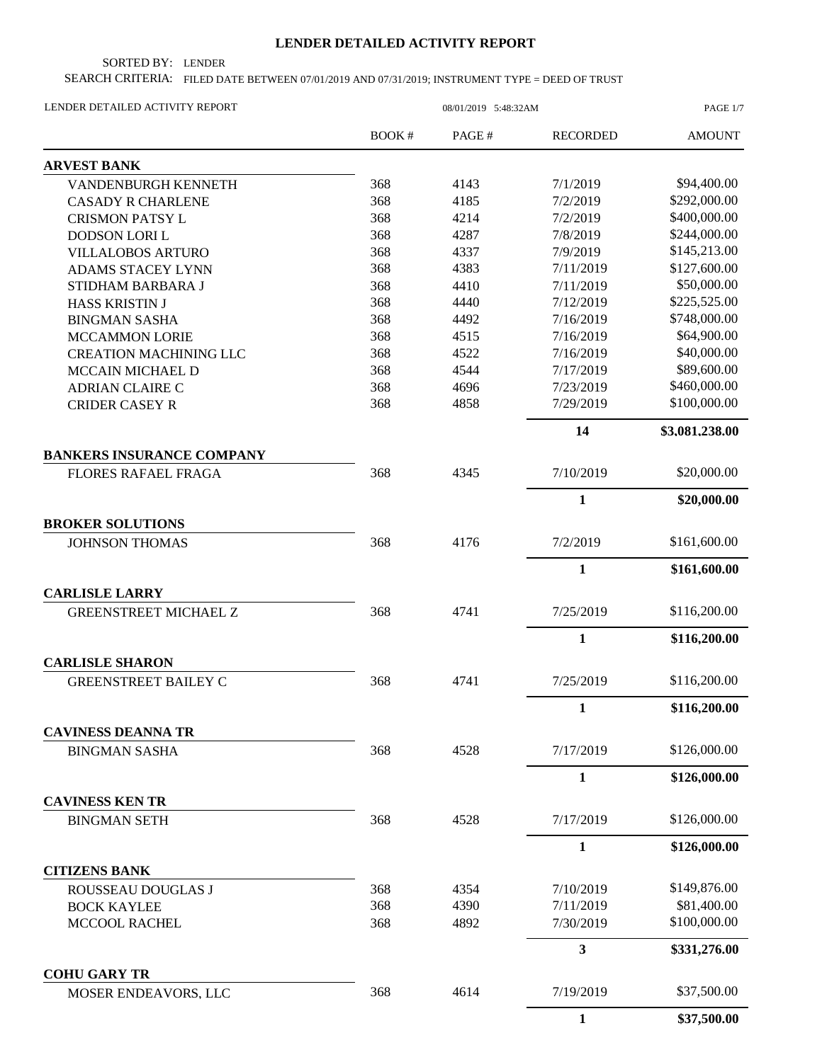## **LENDER DETAILED ACTIVITY REPORT**

SORTED BY: LENDER

SEARCH CRITERIA: FILED DATE BETWEEN 07/01/2019 AND 07/31/2019; INSTRUMENT TYPE = DEED OF TRUST

| LENDER DETAILED ACTIVITY REPORT                   | 08/01/2019 5:48:32AM |       |                 | PAGE 1/7       |
|---------------------------------------------------|----------------------|-------|-----------------|----------------|
|                                                   | BOOK#                | PAGE# | <b>RECORDED</b> | <b>AMOUNT</b>  |
| <b>ARVEST BANK</b>                                |                      |       |                 |                |
| VANDENBURGH KENNETH                               | 368                  | 4143  | 7/1/2019        | \$94,400.00    |
| <b>CASADY R CHARLENE</b>                          | 368                  | 4185  | 7/2/2019        | \$292,000.00   |
| <b>CRISMON PATSY L</b>                            | 368                  | 4214  | 7/2/2019        | \$400,000.00   |
| <b>DODSON LORI L</b>                              | 368                  | 4287  | 7/8/2019        | \$244,000.00   |
| <b>VILLALOBOS ARTURO</b>                          | 368                  | 4337  | 7/9/2019        | \$145,213.00   |
| ADAMS STACEY LYNN                                 | 368                  | 4383  | 7/11/2019       | \$127,600.00   |
| STIDHAM BARBARA J                                 | 368                  | 4410  | 7/11/2019       | \$50,000.00    |
| <b>HASS KRISTIN J</b>                             | 368                  | 4440  | 7/12/2019       | \$225,525.00   |
| <b>BINGMAN SASHA</b>                              | 368                  | 4492  | 7/16/2019       | \$748,000.00   |
| <b>MCCAMMON LORIE</b>                             | 368                  | 4515  | 7/16/2019       | \$64,900.00    |
| <b>CREATION MACHINING LLC</b>                     | 368                  | 4522  | 7/16/2019       | \$40,000.00    |
| MCCAIN MICHAEL D                                  | 368                  | 4544  | 7/17/2019       | \$89,600.00    |
| <b>ADRIAN CLAIRE C</b>                            | 368                  | 4696  | 7/23/2019       | \$460,000.00   |
| <b>CRIDER CASEY R</b>                             | 368                  | 4858  | 7/29/2019       | \$100,000.00   |
|                                                   |                      |       | 14              | \$3,081,238.00 |
| <b>BANKERS INSURANCE COMPANY</b>                  |                      |       |                 |                |
| <b>FLORES RAFAEL FRAGA</b>                        | 368                  | 4345  | 7/10/2019       | \$20,000.00    |
|                                                   |                      |       | $\mathbf{1}$    | \$20,000.00    |
| <b>BROKER SOLUTIONS</b>                           |                      |       |                 |                |
| <b>JOHNSON THOMAS</b>                             | 368                  | 4176  | 7/2/2019        | \$161,600.00   |
|                                                   |                      |       | 1               | \$161,600.00   |
| <b>CARLISLE LARRY</b>                             |                      |       |                 |                |
| <b>GREENSTREET MICHAEL Z</b>                      | 368                  | 4741  | 7/25/2019       | \$116,200.00   |
|                                                   |                      |       | $\mathbf{1}$    | \$116,200.00   |
| <b>CARLISLE SHARON</b>                            |                      |       |                 |                |
| <b>GREENSTREET BAILEY C</b>                       | 368                  | 4741  | 7/25/2019       | \$116,200.00   |
|                                                   |                      |       | 1               | \$116,200.00   |
| <b>CAVINESS DEANNA TR</b><br><b>BINGMAN SASHA</b> | 368                  | 4528  | 7/17/2019       | \$126,000.00   |
|                                                   |                      |       | 1               | \$126,000.00   |
| <b>CAVINESS KEN TR</b>                            |                      |       |                 |                |
| <b>BINGMAN SETH</b>                               | 368                  | 4528  | 7/17/2019       | \$126,000.00   |
|                                                   |                      |       | $\mathbf{1}$    | \$126,000.00   |
| <b>CITIZENS BANK</b>                              |                      |       |                 |                |
| ROUSSEAU DOUGLAS J                                | 368                  | 4354  | 7/10/2019       | \$149,876.00   |
| <b>BOCK KAYLEE</b>                                | 368                  | 4390  | 7/11/2019       | \$81,400.00    |
| MCCOOL RACHEL                                     | 368                  | 4892  | 7/30/2019       | \$100,000.00   |
|                                                   |                      |       | 3               | \$331,276.00   |
| <b>COHU GARY TR</b><br>MOSER ENDEAVORS, LLC       | 368                  | 4614  | 7/19/2019       | \$37,500.00    |
|                                                   |                      |       | $\mathbf{1}$    | \$37,500.00    |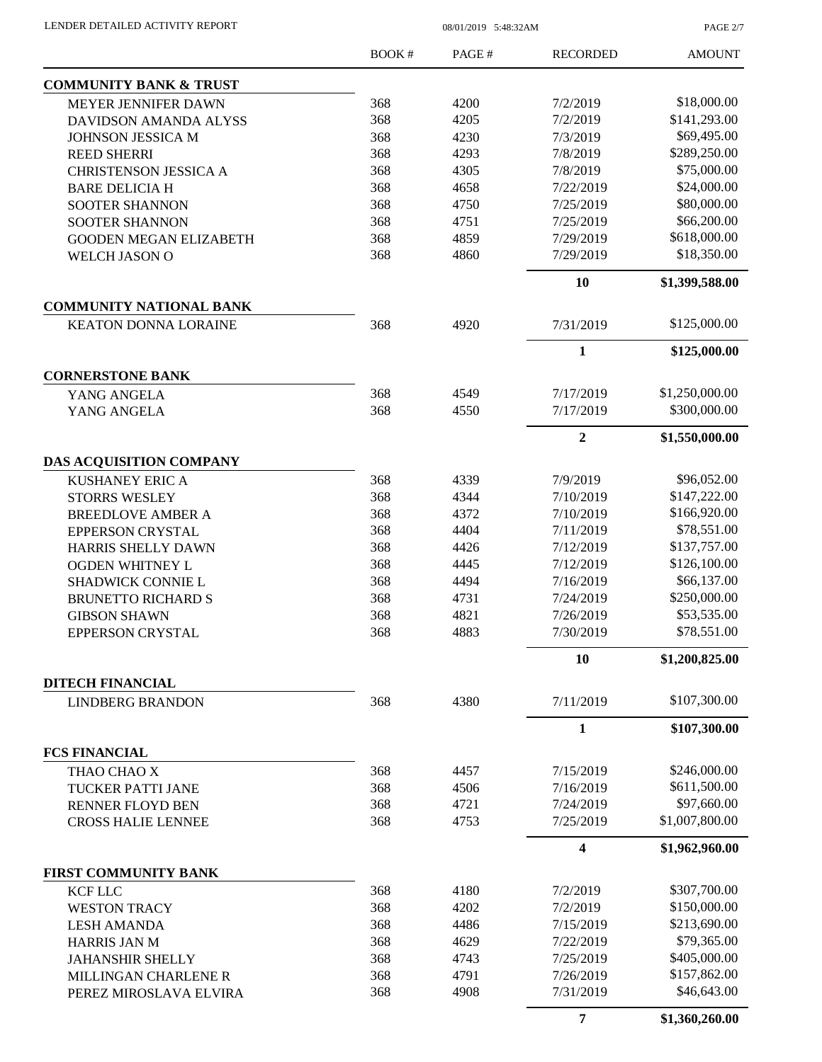PAGE 2/7

|                                   | BOOK# | PAGE# | <b>RECORDED</b> | <b>AMOUNT</b>  |
|-----------------------------------|-------|-------|-----------------|----------------|
| <b>COMMUNITY BANK &amp; TRUST</b> |       |       |                 |                |
| MEYER JENNIFER DAWN               | 368   | 4200  | 7/2/2019        | \$18,000.00    |
| DAVIDSON AMANDA ALYSS             | 368   | 4205  | 7/2/2019        | \$141,293.00   |
| JOHNSON JESSICA M                 | 368   | 4230  | 7/3/2019        | \$69,495.00    |
| <b>REED SHERRI</b>                | 368   | 4293  | 7/8/2019        | \$289,250.00   |
| <b>CHRISTENSON JESSICA A</b>      | 368   | 4305  | 7/8/2019        | \$75,000.00    |
| <b>BARE DELICIA H</b>             | 368   | 4658  | 7/22/2019       | \$24,000.00    |
| <b>SOOTER SHANNON</b>             | 368   | 4750  | 7/25/2019       | \$80,000.00    |
| <b>SOOTER SHANNON</b>             | 368   | 4751  | 7/25/2019       | \$66,200.00    |
| <b>GOODEN MEGAN ELIZABETH</b>     | 368   | 4859  | 7/29/2019       | \$618,000.00   |
| WELCH JASON O                     | 368   | 4860  | 7/29/2019       | \$18,350.00    |
|                                   |       |       | 10              | \$1,399,588.00 |
| <b>COMMUNITY NATIONAL BANK</b>    |       |       |                 |                |
| <b>KEATON DONNA LORAINE</b>       | 368   | 4920  | 7/31/2019       | \$125,000.00   |
|                                   |       |       | 1               | \$125,000.00   |
| <b>CORNERSTONE BANK</b>           |       |       |                 |                |
| YANG ANGELA                       | 368   | 4549  | 7/17/2019       | \$1,250,000.00 |
| YANG ANGELA                       | 368   | 4550  | 7/17/2019       | \$300,000.00   |
|                                   |       |       | $\overline{2}$  | \$1,550,000.00 |
| DAS ACQUISITION COMPANY           |       |       |                 |                |
| <b>KUSHANEY ERIC A</b>            | 368   | 4339  | 7/9/2019        | \$96,052.00    |
| <b>STORRS WESLEY</b>              | 368   | 4344  | 7/10/2019       | \$147,222.00   |
| <b>BREEDLOVE AMBER A</b>          | 368   | 4372  | 7/10/2019       | \$166,920.00   |
| <b>EPPERSON CRYSTAL</b>           | 368   | 4404  | 7/11/2019       | \$78,551.00    |
| <b>HARRIS SHELLY DAWN</b>         | 368   | 4426  | 7/12/2019       | \$137,757.00   |
| OGDEN WHITNEY L                   | 368   | 4445  | 7/12/2019       | \$126,100.00   |
| SHADWICK CONNIE L                 | 368   | 4494  | 7/16/2019       | \$66,137.00    |
| <b>BRUNETTO RICHARD S</b>         | 368   | 4731  | 7/24/2019       | \$250,000.00   |
| <b>GIBSON SHAWN</b>               | 368   | 4821  | 7/26/2019       | \$53,535.00    |
| <b>EPPERSON CRYSTAL</b>           | 368   | 4883  | 7/30/2019       | \$78,551.00    |
|                                   |       |       | 10              | \$1,200,825.00 |
| <b>DITECH FINANCIAL</b>           |       |       |                 |                |
| <b>LINDBERG BRANDON</b>           | 368   | 4380  | 7/11/2019       | \$107,300.00   |
|                                   |       |       | $\mathbf{1}$    | \$107,300.00   |
| <b>FCS FINANCIAL</b>              |       |       |                 |                |
| THAO CHAO X                       | 368   | 4457  | 7/15/2019       | \$246,000.00   |
| TUCKER PATTI JANE                 | 368   | 4506  | 7/16/2019       | \$611,500.00   |
| <b>RENNER FLOYD BEN</b>           | 368   | 4721  | 7/24/2019       | \$97,660.00    |
| <b>CROSS HALIE LENNEE</b>         | 368   | 4753  | 7/25/2019       | \$1,007,800.00 |
|                                   |       |       | 4               | \$1,962,960.00 |
| <b>FIRST COMMUNITY BANK</b>       |       |       |                 |                |
| <b>KCF LLC</b>                    | 368   | 4180  | 7/2/2019        | \$307,700.00   |
| <b>WESTON TRACY</b>               | 368   | 4202  | 7/2/2019        | \$150,000.00   |
| <b>LESH AMANDA</b>                | 368   | 4486  | 7/15/2019       | \$213,690.00   |
| <b>HARRIS JAN M</b>               | 368   | 4629  | 7/22/2019       | \$79,365.00    |
| <b>JAHANSHIR SHELLY</b>           | 368   | 4743  | 7/25/2019       | \$405,000.00   |
| MILLINGAN CHARLENE R              | 368   | 4791  | 7/26/2019       | \$157,862.00   |
| PEREZ MIROSLAVA ELVIRA            | 368   | 4908  | 7/31/2019       | \$46,643.00    |
|                                   |       |       | 7               | \$1,360,260.00 |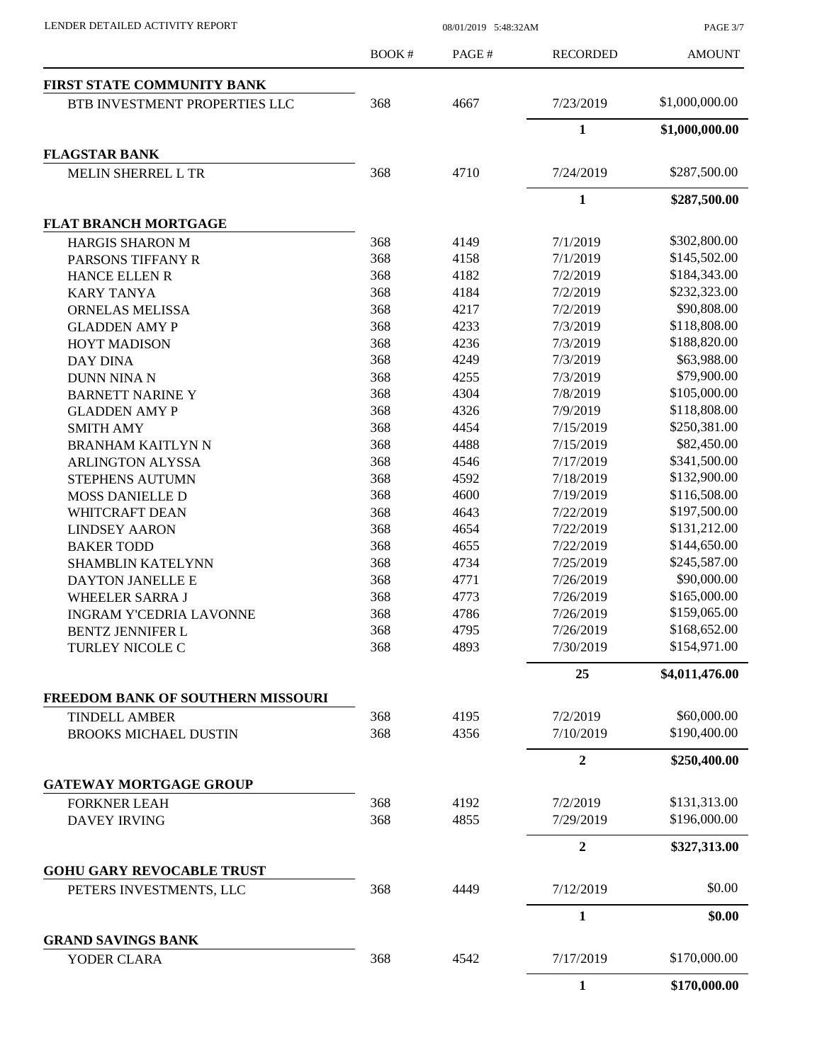PAGE 3/7

|                                          | BOOK# | PAGE# | <b>RECORDED</b> | <b>AMOUNT</b>  |
|------------------------------------------|-------|-------|-----------------|----------------|
| FIRST STATE COMMUNITY BANK               |       |       |                 |                |
| BTB INVESTMENT PROPERTIES LLC            | 368   | 4667  | 7/23/2019       | \$1,000,000.00 |
|                                          |       |       | $\mathbf{1}$    | \$1,000,000.00 |
| <b>FLAGSTAR BANK</b>                     |       |       |                 |                |
| <b>MELIN SHERREL L TR</b>                | 368   | 4710  | 7/24/2019       | \$287,500.00   |
|                                          |       |       | $\mathbf{1}$    | \$287,500.00   |
| <b>FLAT BRANCH MORTGAGE</b>              |       |       |                 |                |
| <b>HARGIS SHARON M</b>                   | 368   | 4149  | 7/1/2019        | \$302,800.00   |
| PARSONS TIFFANY R                        | 368   | 4158  | 7/1/2019        | \$145,502.00   |
| <b>HANCE ELLEN R</b>                     | 368   | 4182  | 7/2/2019        | \$184,343.00   |
| <b>KARY TANYA</b>                        | 368   | 4184  | 7/2/2019        | \$232,323.00   |
| <b>ORNELAS MELISSA</b>                   | 368   | 4217  | 7/2/2019        | \$90,808.00    |
| <b>GLADDEN AMY P</b>                     | 368   | 4233  | 7/3/2019        | \$118,808.00   |
| <b>HOYT MADISON</b>                      | 368   | 4236  | 7/3/2019        | \$188,820.00   |
| <b>DAY DINA</b>                          | 368   | 4249  | 7/3/2019        | \$63,988.00    |
| <b>DUNN NINA N</b>                       | 368   | 4255  | 7/3/2019        | \$79,900.00    |
| <b>BARNETT NARINE Y</b>                  | 368   | 4304  | 7/8/2019        | \$105,000.00   |
| <b>GLADDEN AMY P</b>                     | 368   | 4326  | 7/9/2019        | \$118,808.00   |
| <b>SMITH AMY</b>                         | 368   | 4454  | 7/15/2019       | \$250,381.00   |
| <b>BRANHAM KAITLYN N</b>                 | 368   | 4488  | 7/15/2019       | \$82,450.00    |
| <b>ARLINGTON ALYSSA</b>                  | 368   | 4546  | 7/17/2019       | \$341,500.00   |
| STEPHENS AUTUMN                          | 368   | 4592  | 7/18/2019       | \$132,900.00   |
| <b>MOSS DANIELLE D</b>                   | 368   | 4600  | 7/19/2019       | \$116,508.00   |
| WHITCRAFT DEAN                           | 368   | 4643  | 7/22/2019       | \$197,500.00   |
| <b>LINDSEY AARON</b>                     | 368   | 4654  | 7/22/2019       | \$131,212.00   |
| <b>BAKER TODD</b>                        | 368   | 4655  | 7/22/2019       | \$144,650.00   |
| <b>SHAMBLIN KATELYNN</b>                 | 368   | 4734  | 7/25/2019       | \$245,587.00   |
|                                          | 368   | 4771  | 7/26/2019       | \$90,000.00    |
| DAYTON JANELLE E                         |       |       |                 |                |
| WHEELER SARRA J                          | 368   | 4773  | 7/26/2019       | \$165,000.00   |
| <b>INGRAM Y'CEDRIA LAVONNE</b>           | 368   | 4786  | 7/26/2019       | \$159,065.00   |
| <b>BENTZ JENNIFER L</b>                  | 368   | 4795  | 7/26/2019       | \$168,652.00   |
| TURLEY NICOLE C                          | 368   | 4893  | 7/30/2019       | \$154,971.00   |
|                                          |       |       | 25              | \$4,011,476.00 |
| <b>FREEDOM BANK OF SOUTHERN MISSOURI</b> |       |       |                 |                |
| <b>TINDELL AMBER</b>                     | 368   | 4195  | 7/2/2019        | \$60,000.00    |
| <b>BROOKS MICHAEL DUSTIN</b>             | 368   | 4356  | 7/10/2019       | \$190,400.00   |
|                                          |       |       | $\overline{2}$  | \$250,400.00   |
| <b>GATEWAY MORTGAGE GROUP</b>            |       |       |                 |                |
| <b>FORKNER LEAH</b>                      | 368   | 4192  | 7/2/2019        | \$131,313.00   |
| <b>DAVEY IRVING</b>                      | 368   | 4855  | 7/29/2019       | \$196,000.00   |
|                                          |       |       | $\overline{2}$  | \$327,313.00   |
| <b>GOHU GARY REVOCABLE TRUST</b>         |       |       |                 |                |
| PETERS INVESTMENTS, LLC                  | 368   | 4449  | 7/12/2019       | \$0.00         |
|                                          |       |       | $\mathbf{1}$    | \$0.00         |
| <b>GRAND SAVINGS BANK</b><br>YODER CLARA | 368   | 4542  | 7/17/2019       | \$170,000.00   |
|                                          |       |       | $\mathbf{1}$    | \$170,000.00   |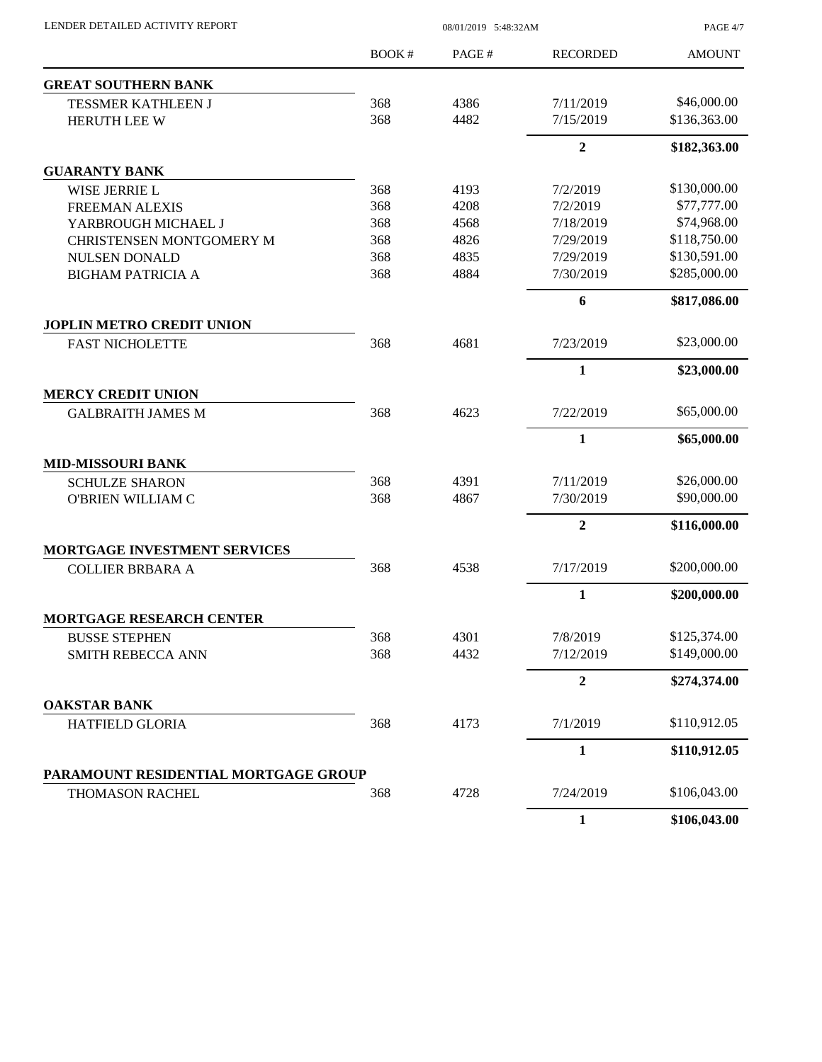| LENDER DETAILED ACTIVITY REPORT      | 08/01/2019 5:48:32AM |       |                 | PAGE 4/7      |
|--------------------------------------|----------------------|-------|-----------------|---------------|
|                                      | BOOK#                | PAGE# | <b>RECORDED</b> | <b>AMOUNT</b> |
| <b>GREAT SOUTHERN BANK</b>           |                      |       |                 |               |
| TESSMER KATHLEEN J                   | 368                  | 4386  | 7/11/2019       | \$46,000.00   |
| HERUTH LEE W                         | 368                  | 4482  | 7/15/2019       | \$136,363.00  |
|                                      |                      |       | $\overline{2}$  | \$182,363.00  |
| <b>GUARANTY BANK</b>                 |                      |       |                 |               |
| <b>WISE JERRIE L</b>                 | 368                  | 4193  | 7/2/2019        | \$130,000.00  |
| <b>FREEMAN ALEXIS</b>                | 368                  | 4208  | 7/2/2019        | \$77,777.00   |
| YARBROUGH MICHAEL J                  | 368                  | 4568  | 7/18/2019       | \$74,968.00   |
| CHRISTENSEN MONTGOMERY M             | 368                  | 4826  | 7/29/2019       | \$118,750.00  |
| <b>NULSEN DONALD</b>                 | 368                  | 4835  | 7/29/2019       | \$130,591.00  |
| <b>BIGHAM PATRICIA A</b>             | 368                  | 4884  | 7/30/2019       | \$285,000.00  |
|                                      |                      |       | 6               | \$817,086.00  |
| <b>JOPLIN METRO CREDIT UNION</b>     |                      |       |                 |               |
| <b>FAST NICHOLETTE</b>               | 368                  | 4681  | 7/23/2019       | \$23,000.00   |
|                                      |                      |       | $\mathbf{1}$    | \$23,000.00   |
| <b>MERCY CREDIT UNION</b>            |                      |       |                 |               |
| <b>GALBRAITH JAMES M</b>             | 368                  | 4623  | 7/22/2019       | \$65,000.00   |
|                                      |                      |       | 1               | \$65,000.00   |
| <b>MID-MISSOURI BANK</b>             |                      |       |                 |               |
| <b>SCHULZE SHARON</b>                | 368                  | 4391  | 7/11/2019       | \$26,000.00   |
| <b>O'BRIEN WILLIAM C</b>             | 368                  | 4867  | 7/30/2019       | \$90,000.00   |
|                                      |                      |       | $\overline{2}$  | \$116,000.00  |
| MORTGAGE INVESTMENT SERVICES         |                      |       |                 |               |
| <b>COLLIER BRBARA A</b>              | 368                  | 4538  | 7/17/2019       | \$200,000.00  |
|                                      |                      |       | $\mathbf{1}$    | \$200,000.00  |
| MORTGAGE RESEARCH CENTER             |                      |       |                 |               |
| <b>BUSSE STEPHEN</b>                 | 368                  | 4301  | 7/8/2019        | \$125,374.00  |
| <b>SMITH REBECCA ANN</b>             | 368                  | 4432  | 7/12/2019       | \$149,000.00  |
|                                      |                      |       | 2               | \$274,374.00  |
| <b>OAKSTAR BANK</b>                  |                      |       |                 |               |
| <b>HATFIELD GLORIA</b>               | 368                  | 4173  | 7/1/2019        | \$110,912.05  |
|                                      |                      |       | $\mathbf{1}$    | \$110,912.05  |
| PARAMOUNT RESIDENTIAL MORTGAGE GROUP |                      |       |                 |               |
| THOMASON RACHEL                      | 368                  | 4728  | 7/24/2019       | \$106,043.00  |
|                                      |                      |       | $\mathbf{1}$    | \$106,043.00  |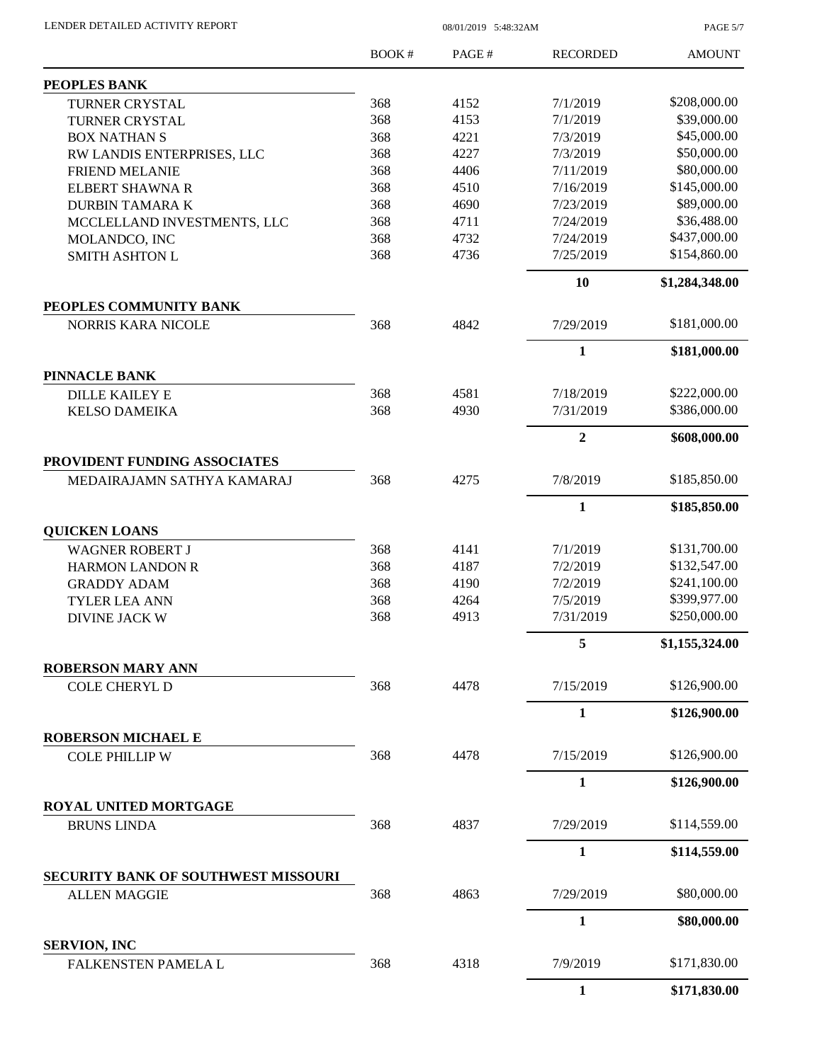| LENDER DETAILED ACTIVITY REPORT |  |
|---------------------------------|--|
|                                 |  |

08/01/2019 5:48:32AM

PAGE 5/7

|                                            | BOOK# | PAGE# | <b>RECORDED</b> | <b>AMOUNT</b>  |
|--------------------------------------------|-------|-------|-----------------|----------------|
| PEOPLES BANK                               |       |       |                 |                |
| <b>TURNER CRYSTAL</b>                      | 368   | 4152  | 7/1/2019        | \$208,000.00   |
| <b>TURNER CRYSTAL</b>                      | 368   | 4153  | 7/1/2019        | \$39,000.00    |
| <b>BOX NATHAN S</b>                        | 368   | 4221  | 7/3/2019        | \$45,000.00    |
| RW LANDIS ENTERPRISES, LLC                 | 368   | 4227  | 7/3/2019        | \$50,000.00    |
| <b>FRIEND MELANIE</b>                      | 368   | 4406  | 7/11/2019       | \$80,000.00    |
| <b>ELBERT SHAWNA R</b>                     | 368   | 4510  | 7/16/2019       | \$145,000.00   |
| <b>DURBIN TAMARA K</b>                     | 368   | 4690  | 7/23/2019       | \$89,000.00    |
| MCCLELLAND INVESTMENTS, LLC                | 368   | 4711  | 7/24/2019       | \$36,488.00    |
| MOLANDCO, INC                              | 368   | 4732  | 7/24/2019       | \$437,000.00   |
| <b>SMITH ASHTON L</b>                      | 368   | 4736  | 7/25/2019       | \$154,860.00   |
|                                            |       |       | 10              | \$1,284,348.00 |
| PEOPLES COMMUNITY BANK                     |       |       |                 |                |
| <b>NORRIS KARA NICOLE</b>                  | 368   | 4842  | 7/29/2019       | \$181,000.00   |
|                                            |       |       | $\mathbf{1}$    | \$181,000.00   |
| <b>PINNACLE BANK</b>                       |       |       |                 |                |
| <b>DILLE KAILEY E</b>                      | 368   | 4581  | 7/18/2019       | \$222,000.00   |
| <b>KELSO DAMEIKA</b>                       | 368   | 4930  | 7/31/2019       | \$386,000.00   |
|                                            |       |       | $\overline{2}$  | \$608,000.00   |
| PROVIDENT FUNDING ASSOCIATES               |       |       |                 |                |
| MEDAIRAJAMN SATHYA KAMARAJ                 | 368   | 4275  | 7/8/2019        | \$185,850.00   |
|                                            |       |       | $\mathbf{1}$    | \$185,850.00   |
| <b>QUICKEN LOANS</b>                       |       |       |                 |                |
| <b>WAGNER ROBERT J</b>                     | 368   | 4141  | 7/1/2019        | \$131,700.00   |
| <b>HARMON LANDON R</b>                     | 368   | 4187  | 7/2/2019        | \$132,547.00   |
| <b>GRADDY ADAM</b>                         | 368   | 4190  | 7/2/2019        | \$241,100.00   |
| <b>TYLER LEA ANN</b>                       | 368   | 4264  | 7/5/2019        | \$399,977.00   |
| <b>DIVINE JACK W</b>                       | 368   | 4913  | 7/31/2019       | \$250,000.00   |
|                                            |       |       | 5               | \$1,155,324.00 |
| <b>ROBERSON MARY ANN</b>                   |       |       |                 |                |
| <b>COLE CHERYL D</b>                       | 368   | 4478  | 7/15/2019       | \$126,900.00   |
|                                            |       |       | $\mathbf{1}$    | \$126,900.00   |
| <b>ROBERSON MICHAEL E</b>                  |       |       |                 |                |
| <b>COLE PHILLIP W</b>                      | 368   | 4478  | 7/15/2019       | \$126,900.00   |
|                                            |       |       | 1               | \$126,900.00   |
| ROYAL UNITED MORTGAGE                      |       |       |                 |                |
| <b>BRUNS LINDA</b>                         | 368   | 4837  | 7/29/2019       | \$114,559.00   |
|                                            |       |       | $\mathbf{1}$    | \$114,559.00   |
| <b>SECURITY BANK OF SOUTHWEST MISSOURI</b> |       |       |                 |                |
| <b>ALLEN MAGGIE</b>                        | 368   | 4863  | 7/29/2019       | \$80,000.00    |
|                                            |       |       | $\mathbf{1}$    | \$80,000.00    |
| <b>SERVION, INC</b>                        |       |       |                 |                |
| FALKENSTEN PAMELA L                        | 368   | 4318  | 7/9/2019        | \$171,830.00   |
|                                            |       |       | 1               | \$171,830.00   |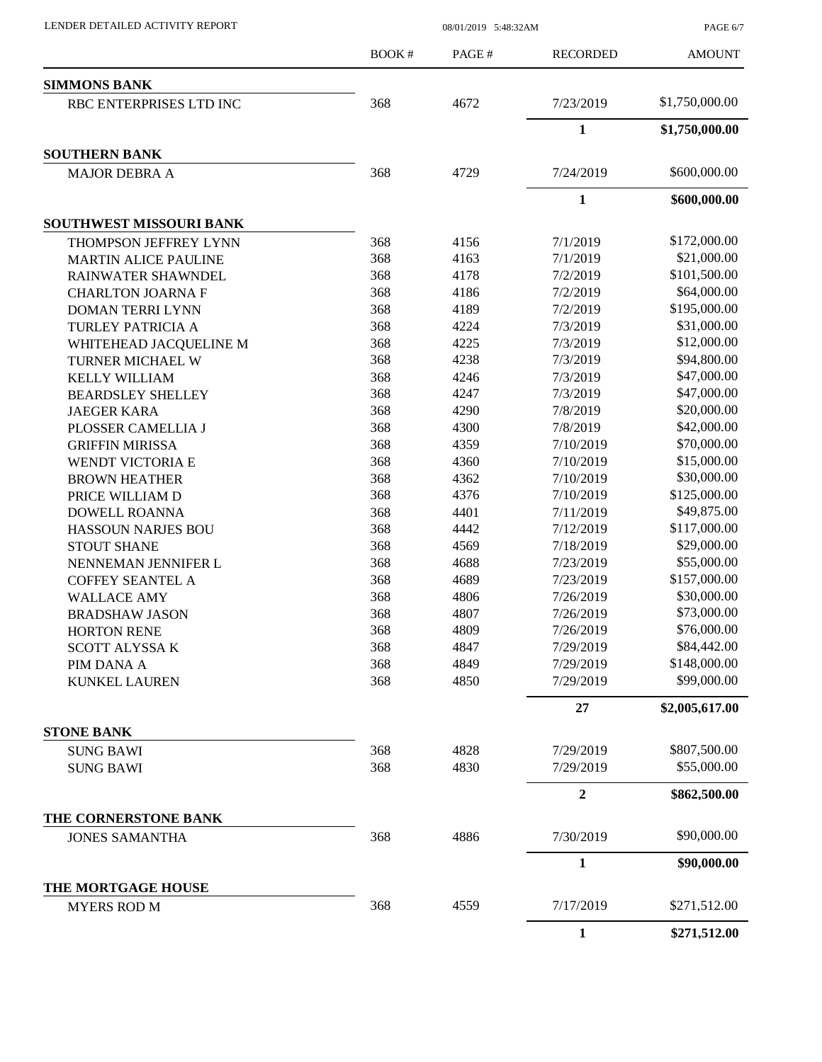LENDER DETAILED ACTIVITY REPORT 08/01/2019 5:48:32AM

PAGE 6/7

|                                | <b>BOOK#</b> | PAGE#        | <b>RECORDED</b>      | <b>AMOUNT</b>  |
|--------------------------------|--------------|--------------|----------------------|----------------|
| <b>SIMMONS BANK</b>            |              |              |                      |                |
| RBC ENTERPRISES LTD INC        | 368          | 4672         | 7/23/2019            | \$1,750,000.00 |
|                                |              |              | $\mathbf{1}$         | \$1,750,000.00 |
| <b>SOUTHERN BANK</b>           |              |              |                      |                |
| <b>MAJOR DEBRA A</b>           | 368          | 4729         | 7/24/2019            | \$600,000.00   |
|                                |              |              | $\mathbf{1}$         | \$600,000.00   |
| <b>SOUTHWEST MISSOURI BANK</b> |              |              |                      |                |
| THOMPSON JEFFREY LYNN          | 368          | 4156         | 7/1/2019             | \$172,000.00   |
| <b>MARTIN ALICE PAULINE</b>    | 368          | 4163         | 7/1/2019             | \$21,000.00    |
| RAINWATER SHAWNDEL             | 368          | 4178         | 7/2/2019             | \$101,500.00   |
| <b>CHARLTON JOARNA F</b>       | 368          | 4186         | 7/2/2019             | \$64,000.00    |
| <b>DOMAN TERRI LYNN</b>        | 368          | 4189         | 7/2/2019             | \$195,000.00   |
| TURLEY PATRICIA A              | 368          | 4224         | 7/3/2019             | \$31,000.00    |
| WHITEHEAD JACQUELINE M         | 368          | 4225         | 7/3/2019             | \$12,000.00    |
|                                | 368          | 4238         | 7/3/2019             | \$94,800.00    |
| TURNER MICHAEL W               | 368          |              |                      | \$47,000.00    |
| <b>KELLY WILLIAM</b>           | 368          | 4246<br>4247 | 7/3/2019<br>7/3/2019 | \$47,000.00    |
| <b>BEARDSLEY SHELLEY</b>       |              |              |                      | \$20,000.00    |
| <b>JAEGER KARA</b>             | 368          | 4290         | 7/8/2019             |                |
| PLOSSER CAMELLIA J             | 368          | 4300         | 7/8/2019             | \$42,000.00    |
| <b>GRIFFIN MIRISSA</b>         | 368          | 4359         | 7/10/2019            | \$70,000.00    |
| WENDT VICTORIA E               | 368          | 4360         | 7/10/2019            | \$15,000.00    |
| <b>BROWN HEATHER</b>           | 368          | 4362         | 7/10/2019            | \$30,000.00    |
| PRICE WILLIAM D                | 368          | 4376         | 7/10/2019            | \$125,000.00   |
| <b>DOWELL ROANNA</b>           | 368          | 4401         | 7/11/2019            | \$49,875.00    |
| <b>HASSOUN NARJES BOU</b>      | 368          | 4442         | 7/12/2019            | \$117,000.00   |
| <b>STOUT SHANE</b>             | 368          | 4569         | 7/18/2019            | \$29,000.00    |
| NENNEMAN JENNIFER L            | 368          | 4688         | 7/23/2019            | \$55,000.00    |
| <b>COFFEY SEANTEL A</b>        | 368          | 4689         | 7/23/2019            | \$157,000.00   |
| <b>WALLACE AMY</b>             | 368          | 4806         | 7/26/2019            | \$30,000.00    |
| <b>BRADSHAW JASON</b>          | 368          | 4807         | 7/26/2019            | \$73,000.00    |
| <b>HORTON RENE</b>             | 368          | 4809         | 7/26/2019            | \$76,000.00    |
| SCOTT ALYSSA K                 | 368          | 4847         | 7/29/2019            | \$84,442.00    |
| PIM DANA A                     | 368          | 4849         | 7/29/2019            | \$148,000.00   |
| <b>KUNKEL LAUREN</b>           | 368          | 4850         | 7/29/2019            | \$99,000.00    |
|                                |              |              | 27                   | \$2,005,617.00 |
| <b>STONE BANK</b>              |              |              |                      |                |
| <b>SUNG BAWI</b>               | 368          | 4828         | 7/29/2019            | \$807,500.00   |
| <b>SUNG BAWI</b>               | 368          | 4830         | 7/29/2019            | \$55,000.00    |
|                                |              |              | $\boldsymbol{2}$     | \$862,500.00   |
| THE CORNERSTONE BANK           |              |              |                      |                |
| <b>JONES SAMANTHA</b>          | 368          | 4886         | 7/30/2019            | \$90,000.00    |
|                                |              |              | $\mathbf{1}$         | \$90,000.00    |
| THE MORTGAGE HOUSE             |              |              |                      |                |
| <b>MYERS ROD M</b>             | 368          | 4559         | 7/17/2019            | \$271,512.00   |
|                                |              |              | $\mathbf{1}$         | \$271,512.00   |